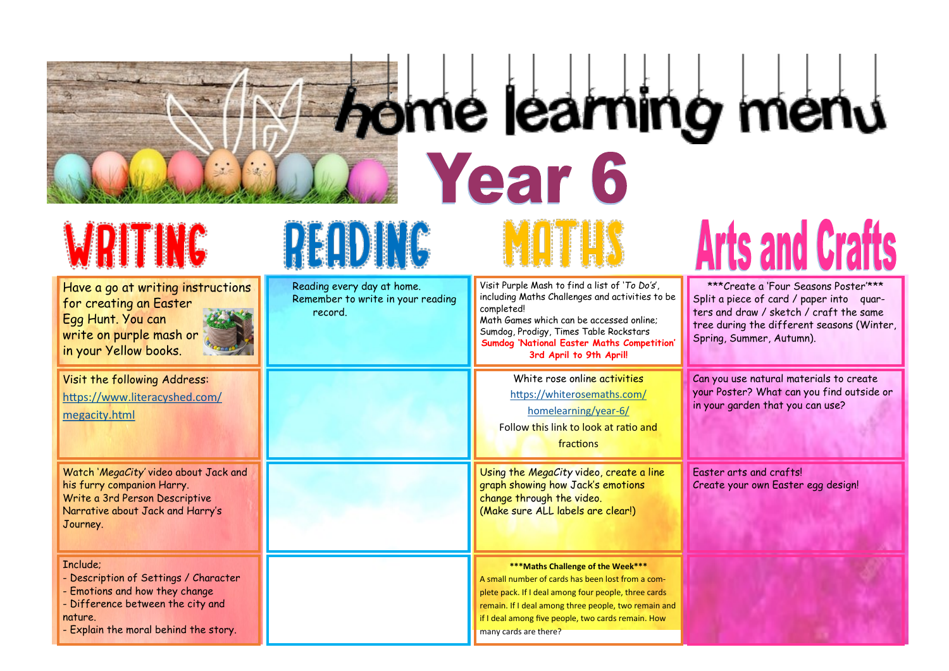# **ING home learning menu Typear 6 Arts and Crafts**

## WRITING

Have a go at writing instructions for creating an Easter Egg Hunt. You can write on purple mash or in your Yellow books.



Visit the following Address: [https://www.literacyshed.com/](https://www.literacyshed.com/megacity.html) [megacity.html](https://www.literacyshed.com/megacity.html)

Watch '*MegaCity'* video about Jack and his furry companion Harry. Write a 3rd Person Descriptive Narrative about Jack and Harry's Journey.

#### Include;

- Description of Settings / Character

- Emotions and how they change

- Difference between the city and nature.

- Explain the moral behind the story.

# PEOD NG

Reading every day at home. Remember to write in your reading record. Visit Purple Mash to find a list of '*To Do's*', including Maths Challenges and activities to be completed! Math Games which can be accessed online; Sumdog, Prodigy, Times Table Rockstars **Sumdog 'National Easter Maths Competition' 3rd April to 9th April!** White rose online activities [https://whiterosemaths.com/](https://whiterosemaths.com/homelearning/year-6/) [homelearning/year](https://whiterosemaths.com/homelearning/year-6/)-6/ Follow this link to look at ratio and fractions Using the *MegaCity* video, create a line graph showing how Jack's emotions change through the video. (Make sure ALL labels are clear!) **\*\*\*Maths Challenge of the Week\*\*\***  A small number of cards has been lost from a complete pack. If I deal among four people, three cards remain. If I deal among three people, two remain and if I deal among five people, two cards remain. How \*\*\*Create a 'Four Seasons Poster'\*\*\* Split a piece of card / paper into guarters and draw / sketch / craft the same tree during the different seasons (Winter, Spring, Summer, Autumn). Can you use natural materials to create your Poster? What can you find outside or in your garden that you can use? Easter arts and crafts! Create your own Easter egg design!

many cards are there?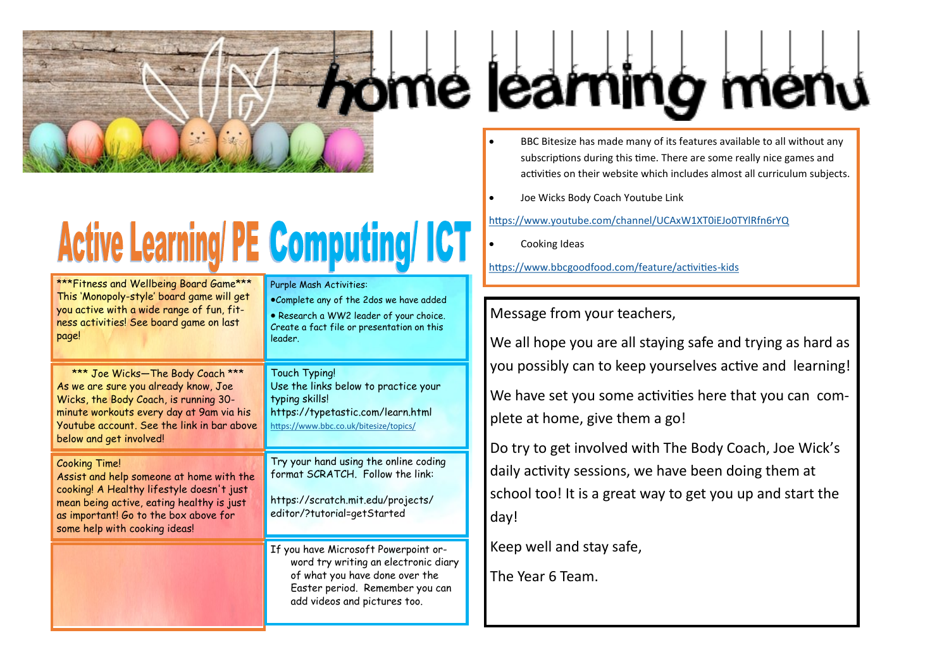

# **Active Learning/ PE Computing/ ICT**

| ***Fitness and Wellbeing Board Game***<br>This 'Monopoly-style' board game will get<br>you active with a wide range of fun, fit-<br>ness activities! See board game on last<br>page!                                                   | Purple Mash Activities:<br>.Complete any of the 2dos we have added<br>· Research a WW2 leader of your choice.<br>Create a fact file or presentation on this<br>leader.            |  |
|----------------------------------------------------------------------------------------------------------------------------------------------------------------------------------------------------------------------------------------|-----------------------------------------------------------------------------------------------------------------------------------------------------------------------------------|--|
| *** Joe Wicks-The Body Coach ***<br>As we are sure you already know, Joe<br>Wicks, the Body Coach, is running 30-<br>minute workouts every day at 9am via his<br>Youtube account. See the link in bar above<br>below and get involved! | Touch Typing!<br>Use the links below to practice your<br>typing skills!<br>https://typetastic.com/learn.html<br>https://www.bbc.co.uk/bitesize/topics/                            |  |
| <b>Cooking Time!</b><br>Assist and help someone at home with the<br>cooking! A Healthy lifestyle doesn't just<br>mean being active, eating healthy is just<br>as important! Go to the box above for<br>some help with cooking ideas!   | Try your hand using the online coding<br>format SCRATCH. Follow the link:<br>https://scratch.mit.edu/projects/<br>editor/?tutorial=getStarted                                     |  |
|                                                                                                                                                                                                                                        | If you have Microsoft Powerpoint or-<br>word try writing an electronic diary<br>of what you have done over the<br>Easter period. Remember you can<br>add videos and pictures too. |  |

#### • BBC Bitesize has made many of its features available to all without any subscriptions during this time. There are some really nice games and activities on their website which includes almost all curriculum subjects.

• Joe Wicks Body Coach Youtube Link

<https://www.youtube.com/channel/UCAxW1XT0iEJo0TYlRfn6rYQ>

• Cooking Ideas

[https://www.bbcgoodfood.com/feature/activities](https://www.bbcgoodfood.com/feature/activities-kids)-kids

### Message from your teachers,

We all hope you are all staying safe and trying as hard as you possibly can to keep yourselves active and learning!

We have set you some activities here that you can complete at home, give them a go!

Do try to get involved with The Body Coach, Joe Wick's daily activity sessions, we have been doing them at school too! It is a great way to get you up and start the day!

Keep well and stay safe,

The Year 6 Team.